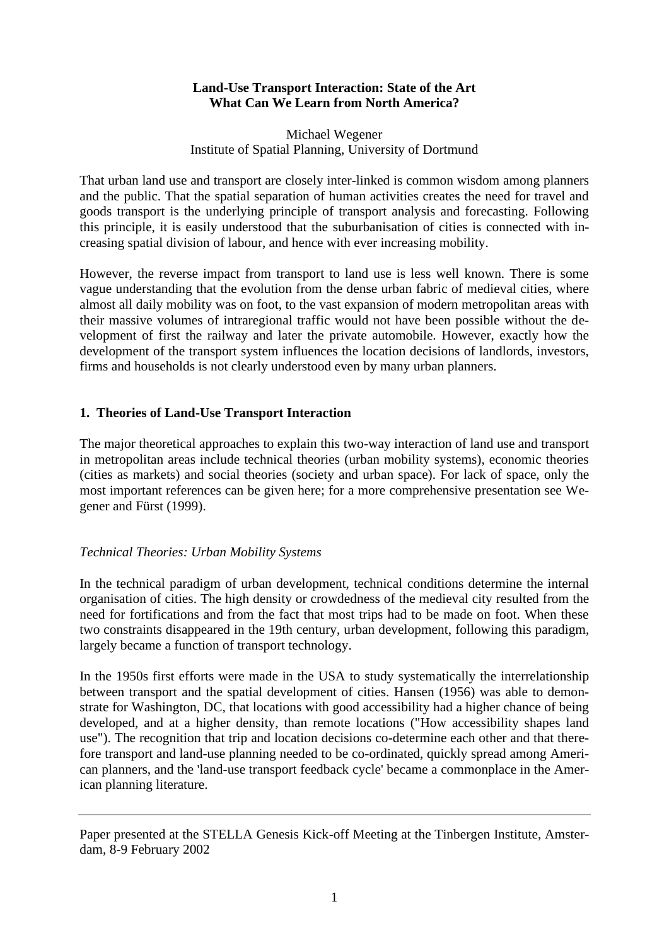# **Land-Use Transport Interaction: State of the Art What Can We Learn from North America?**

### Michael Wegener Institute of Spatial Planning, University of Dortmund

That urban land use and transport are closely inter-linked is common wisdom among planners and the public. That the spatial separation of human activities creates the need for travel and goods transport is the underlying principle of transport analysis and forecasting. Following this principle, it is easily understood that the suburbanisation of cities is connected with increasing spatial division of labour, and hence with ever increasing mobility.

However, the reverse impact from transport to land use is less well known. There is some vague understanding that the evolution from the dense urban fabric of medieval cities, where almost all daily mobility was on foot, to the vast expansion of modern metropolitan areas with their massive volumes of intraregional traffic would not have been possible without the development of first the railway and later the private automobile. However, exactly how the development of the transport system influences the location decisions of landlords, investors, firms and households is not clearly understood even by many urban planners.

# **1. Theories of Land-Use Transport Interaction**

The major theoretical approaches to explain this two-way interaction of land use and transport in metropolitan areas include technical theories (urban mobility systems), economic theories (cities as markets) and social theories (society and urban space). For lack of space, only the most important references can be given here; for a more comprehensive presentation see Wegener and Fürst (1999).

# *Technical Theories: Urban Mobility Systems*

In the technical paradigm of urban development, technical conditions determine the internal organisation of cities. The high density or crowdedness of the medieval city resulted from the need for fortifications and from the fact that most trips had to be made on foot. When these two constraints disappeared in the 19th century, urban development, following this paradigm, largely became a function of transport technology.

In the 1950s first efforts were made in the USA to study systematically the interrelationship between transport and the spatial development of cities. Hansen (1956) was able to demonstrate for Washington, DC, that locations with good accessibility had a higher chance of being developed, and at a higher density, than remote locations ("How accessibility shapes land use"). The recognition that trip and location decisions co-determine each other and that therefore transport and land-use planning needed to be co-ordinated, quickly spread among American planners, and the 'land-use transport feedback cycle' became a commonplace in the American planning literature.

Paper presented at the STELLA Genesis Kick-off Meeting at the Tinbergen Institute, Amsterdam, 8-9 February 2002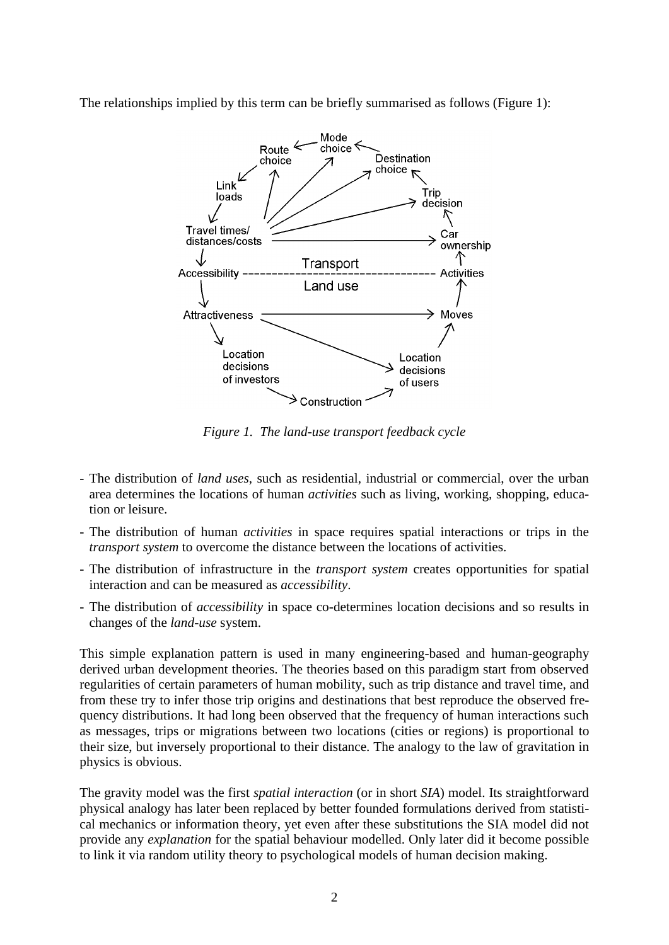The relationships implied by this term can be briefly summarised as follows (Figure 1):



*Figure 1. The land-use transport feedback cycle*

- The distribution of *land uses*, such as residential, industrial or commercial, over the urban area determines the locations of human *activities* such as living, working, shopping, education or leisure.
- The distribution of human *activities* in space requires spatial interactions or trips in the *transport system* to overcome the distance between the locations of activities.
- The distribution of infrastructure in the *transport system* creates opportunities for spatial interaction and can be measured as *accessibility*.
- The distribution of *accessibility* in space co-determines location decisions and so results in changes of the *land-use* system.

This simple explanation pattern is used in many engineering-based and human-geography derived urban development theories. The theories based on this paradigm start from observed regularities of certain parameters of human mobility, such as trip distance and travel time, and from these try to infer those trip origins and destinations that best reproduce the observed frequency distributions. It had long been observed that the frequency of human interactions such as messages, trips or migrations between two locations (cities or regions) is proportional to their size, but inversely proportional to their distance. The analogy to the law of gravitation in physics is obvious.

The gravity model was the first *spatial interaction* (or in short *SIA*) model. Its straightforward physical analogy has later been replaced by better founded formulations derived from statistical mechanics or information theory, yet even after these substitutions the SIA model did not provide any *explanation* for the spatial behaviour modelled. Only later did it become possible to link it via random utility theory to psychological models of human decision making.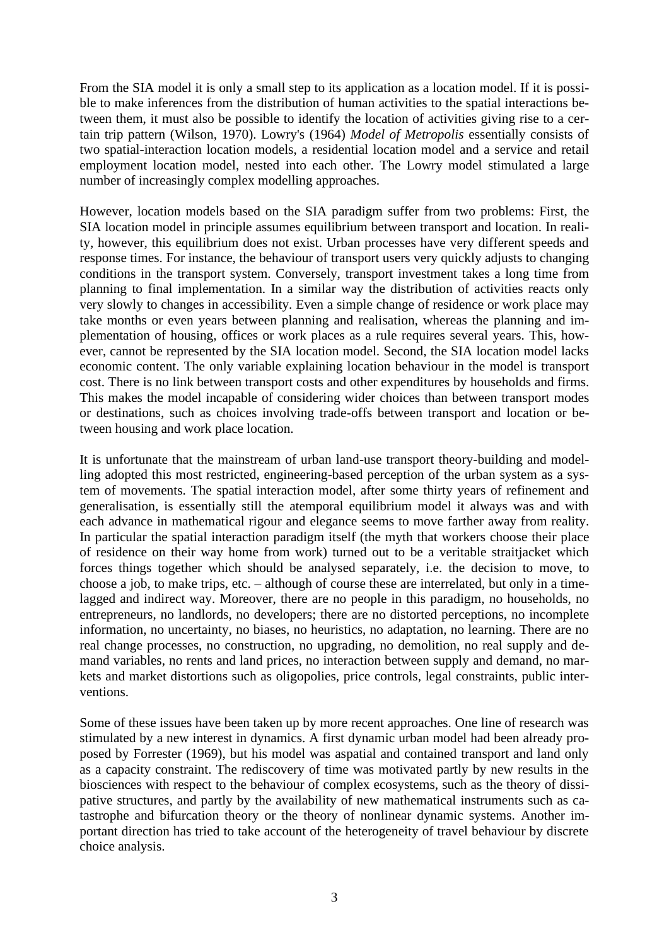From the SIA model it is only a small step to its application as a location model. If it is possible to make inferences from the distribution of human activities to the spatial interactions between them, it must also be possible to identify the location of activities giving rise to a certain trip pattern (Wilson, 1970). Lowry's (1964) *Model of Metropolis* essentially consists of two spatial-interaction location models, a residential location model and a service and retail employment location model, nested into each other. The Lowry model stimulated a large number of increasingly complex modelling approaches.

However, location models based on the SIA paradigm suffer from two problems: First, the SIA location model in principle assumes equilibrium between transport and location. In reality, however, this equilibrium does not exist. Urban processes have very different speeds and response times. For instance, the behaviour of transport users very quickly adjusts to changing conditions in the transport system. Conversely, transport investment takes a long time from planning to final implementation. In a similar way the distribution of activities reacts only very slowly to changes in accessibility. Even a simple change of residence or work place may take months or even years between planning and realisation, whereas the planning and implementation of housing, offices or work places as a rule requires several years. This, however, cannot be represented by the SIA location model. Second, the SIA location model lacks economic content. The only variable explaining location behaviour in the model is transport cost. There is no link between transport costs and other expenditures by households and firms. This makes the model incapable of considering wider choices than between transport modes or destinations, such as choices involving trade-offs between transport and location or between housing and work place location.

It is unfortunate that the mainstream of urban land-use transport theory-building and modelling adopted this most restricted, engineering-based perception of the urban system as a system of movements. The spatial interaction model, after some thirty years of refinement and generalisation, is essentially still the atemporal equilibrium model it always was and with each advance in mathematical rigour and elegance seems to move farther away from reality. In particular the spatial interaction paradigm itself (the myth that workers choose their place of residence on their way home from work) turned out to be a veritable straitjacket which forces things together which should be analysed separately, i.e. the decision to move, to choose a job, to make trips, etc. – although of course these are interrelated, but only in a timelagged and indirect way. Moreover, there are no people in this paradigm, no households, no entrepreneurs, no landlords, no developers; there are no distorted perceptions, no incomplete information, no uncertainty, no biases, no heuristics, no adaptation, no learning. There are no real change processes, no construction, no upgrading, no demolition, no real supply and demand variables, no rents and land prices, no interaction between supply and demand, no markets and market distortions such as oligopolies, price controls, legal constraints, public interventions.

Some of these issues have been taken up by more recent approaches. One line of research was stimulated by a new interest in dynamics. A first dynamic urban model had been already proposed by Forrester (1969), but his model was aspatial and contained transport and land only as a capacity constraint. The rediscovery of time was motivated partly by new results in the biosciences with respect to the behaviour of complex ecosystems, such as the theory of dissipative structures, and partly by the availability of new mathematical instruments such as catastrophe and bifurcation theory or the theory of nonlinear dynamic systems. Another important direction has tried to take account of the heterogeneity of travel behaviour by discrete choice analysis.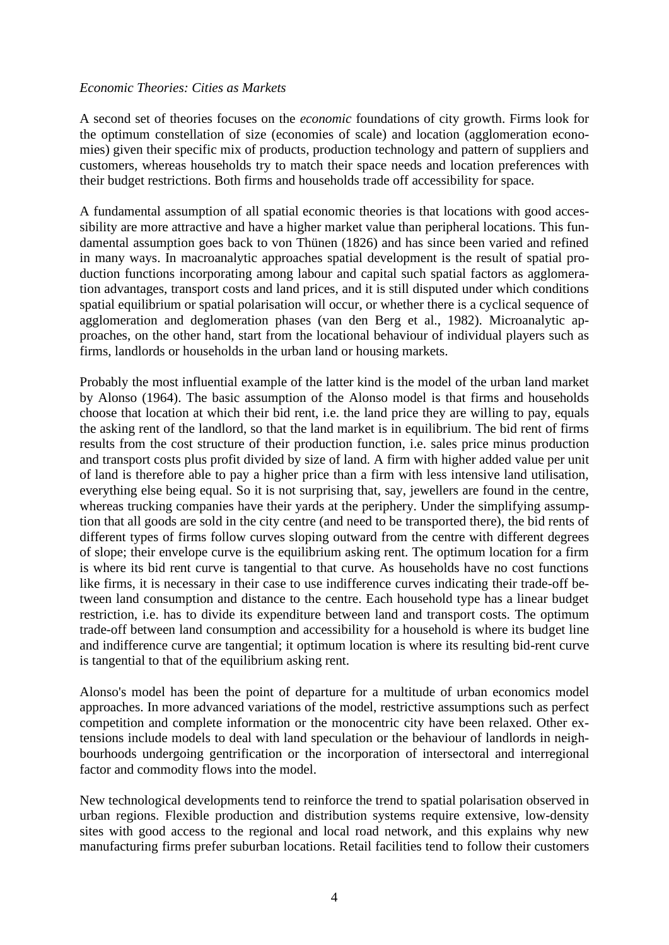#### *Economic Theories: Cities as Markets*

A second set of theories focuses on the *economic* foundations of city growth. Firms look for the optimum constellation of size (economies of scale) and location (agglomeration economies) given their specific mix of products, production technology and pattern of suppliers and customers, whereas households try to match their space needs and location preferences with their budget restrictions. Both firms and households trade off accessibility for space.

A fundamental assumption of all spatial economic theories is that locations with good accessibility are more attractive and have a higher market value than peripheral locations. This fundamental assumption goes back to von Thünen (1826) and has since been varied and refined in many ways. In macroanalytic approaches spatial development is the result of spatial production functions incorporating among labour and capital such spatial factors as agglomeration advantages, transport costs and land prices, and it is still disputed under which conditions spatial equilibrium or spatial polarisation will occur, or whether there is a cyclical sequence of agglomeration and deglomeration phases (van den Berg et al., 1982). Microanalytic approaches, on the other hand, start from the locational behaviour of individual players such as firms, landlords or households in the urban land or housing markets.

Probably the most influential example of the latter kind is the model of the urban land market by Alonso (1964). The basic assumption of the Alonso model is that firms and households choose that location at which their bid rent, i.e. the land price they are willing to pay, equals the asking rent of the landlord, so that the land market is in equilibrium. The bid rent of firms results from the cost structure of their production function, i.e. sales price minus production and transport costs plus profit divided by size of land. A firm with higher added value per unit of land is therefore able to pay a higher price than a firm with less intensive land utilisation, everything else being equal. So it is not surprising that, say, jewellers are found in the centre, whereas trucking companies have their yards at the periphery. Under the simplifying assumption that all goods are sold in the city centre (and need to be transported there), the bid rents of different types of firms follow curves sloping outward from the centre with different degrees of slope; their envelope curve is the equilibrium asking rent. The optimum location for a firm is where its bid rent curve is tangential to that curve. As households have no cost functions like firms, it is necessary in their case to use indifference curves indicating their trade-off between land consumption and distance to the centre. Each household type has a linear budget restriction, i.e. has to divide its expenditure between land and transport costs. The optimum trade-off between land consumption and accessibility for a household is where its budget line and indifference curve are tangential; it optimum location is where its resulting bid-rent curve is tangential to that of the equilibrium asking rent.

Alonso's model has been the point of departure for a multitude of urban economics model approaches. In more advanced variations of the model, restrictive assumptions such as perfect competition and complete information or the monocentric city have been relaxed. Other extensions include models to deal with land speculation or the behaviour of landlords in neighbourhoods undergoing gentrification or the incorporation of intersectoral and interregional factor and commodity flows into the model.

New technological developments tend to reinforce the trend to spatial polarisation observed in urban regions. Flexible production and distribution systems require extensive, low-density sites with good access to the regional and local road network, and this explains why new manufacturing firms prefer suburban locations. Retail facilities tend to follow their customers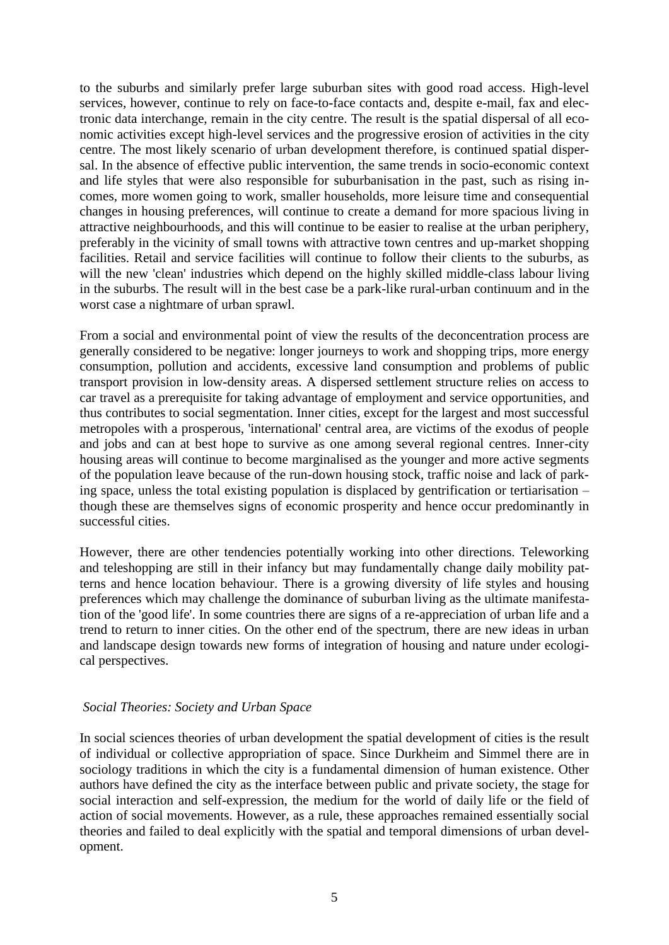to the suburbs and similarly prefer large suburban sites with good road access. High-level services, however, continue to rely on face-to-face contacts and, despite e-mail, fax and electronic data interchange, remain in the city centre. The result is the spatial dispersal of all economic activities except high-level services and the progressive erosion of activities in the city centre. The most likely scenario of urban development therefore, is continued spatial dispersal. In the absence of effective public intervention, the same trends in socio-economic context and life styles that were also responsible for suburbanisation in the past, such as rising incomes, more women going to work, smaller households, more leisure time and consequential changes in housing preferences, will continue to create a demand for more spacious living in attractive neighbourhoods, and this will continue to be easier to realise at the urban periphery, preferably in the vicinity of small towns with attractive town centres and up-market shopping facilities. Retail and service facilities will continue to follow their clients to the suburbs, as will the new 'clean' industries which depend on the highly skilled middle-class labour living in the suburbs. The result will in the best case be a park-like rural-urban continuum and in the worst case a nightmare of urban sprawl.

From a social and environmental point of view the results of the deconcentration process are generally considered to be negative: longer journeys to work and shopping trips, more energy consumption, pollution and accidents, excessive land consumption and problems of public transport provision in low-density areas. A dispersed settlement structure relies on access to car travel as a prerequisite for taking advantage of employment and service opportunities, and thus contributes to social segmentation. Inner cities, except for the largest and most successful metropoles with a prosperous, 'international' central area, are victims of the exodus of people and jobs and can at best hope to survive as one among several regional centres. Inner-city housing areas will continue to become marginalised as the younger and more active segments of the population leave because of the run-down housing stock, traffic noise and lack of parking space, unless the total existing population is displaced by gentrification or tertiarisation – though these are themselves signs of economic prosperity and hence occur predominantly in successful cities.

However, there are other tendencies potentially working into other directions. Teleworking and teleshopping are still in their infancy but may fundamentally change daily mobility patterns and hence location behaviour. There is a growing diversity of life styles and housing preferences which may challenge the dominance of suburban living as the ultimate manifestation of the 'good life'. In some countries there are signs of a re-appreciation of urban life and a trend to return to inner cities. On the other end of the spectrum, there are new ideas in urban and landscape design towards new forms of integration of housing and nature under ecological perspectives.

#### *Social Theories: Society and Urban Space*

In social sciences theories of urban development the spatial development of cities is the result of individual or collective appropriation of space. Since Durkheim and Simmel there are in sociology traditions in which the city is a fundamental dimension of human existence. Other authors have defined the city as the interface between public and private society, the stage for social interaction and self-expression, the medium for the world of daily life or the field of action of social movements. However, as a rule, these approaches remained essentially social theories and failed to deal explicitly with the spatial and temporal dimensions of urban development.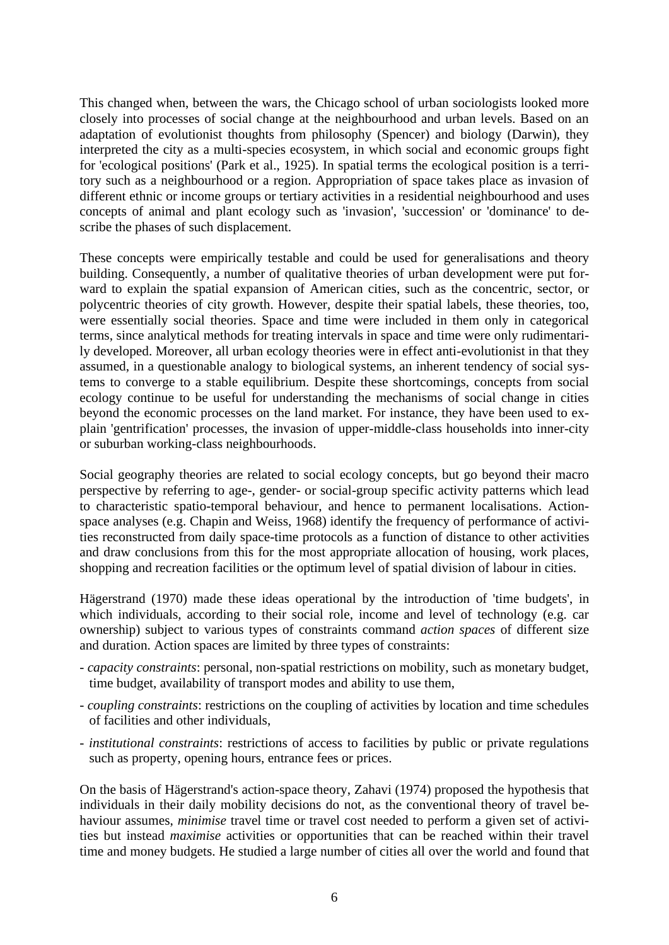This changed when, between the wars, the Chicago school of urban sociologists looked more closely into processes of social change at the neighbourhood and urban levels. Based on an adaptation of evolutionist thoughts from philosophy (Spencer) and biology (Darwin), they interpreted the city as a multi-species ecosystem, in which social and economic groups fight for 'ecological positions' (Park et al., 1925). In spatial terms the ecological position is a territory such as a neighbourhood or a region. Appropriation of space takes place as invasion of different ethnic or income groups or tertiary activities in a residential neighbourhood and uses concepts of animal and plant ecology such as 'invasion', 'succession' or 'dominance' to describe the phases of such displacement.

These concepts were empirically testable and could be used for generalisations and theory building. Consequently, a number of qualitative theories of urban development were put forward to explain the spatial expansion of American cities, such as the concentric, sector, or polycentric theories of city growth. However, despite their spatial labels, these theories, too, were essentially social theories. Space and time were included in them only in categorical terms, since analytical methods for treating intervals in space and time were only rudimentarily developed. Moreover, all urban ecology theories were in effect anti-evolutionist in that they assumed, in a questionable analogy to biological systems, an inherent tendency of social systems to converge to a stable equilibrium. Despite these shortcomings, concepts from social ecology continue to be useful for understanding the mechanisms of social change in cities beyond the economic processes on the land market. For instance, they have been used to explain 'gentrification' processes, the invasion of upper-middle-class households into inner-city or suburban working-class neighbourhoods.

Social geography theories are related to social ecology concepts, but go beyond their macro perspective by referring to age-, gender- or social-group specific activity patterns which lead to characteristic spatio-temporal behaviour, and hence to permanent localisations. Actionspace analyses (e.g. Chapin and Weiss, 1968) identify the frequency of performance of activities reconstructed from daily space-time protocols as a function of distance to other activities and draw conclusions from this for the most appropriate allocation of housing, work places, shopping and recreation facilities or the optimum level of spatial division of labour in cities.

Hägerstrand (1970) made these ideas operational by the introduction of 'time budgets', in which individuals, according to their social role, income and level of technology (e.g. car ownership) subject to various types of constraints command *action spaces* of different size and duration. Action spaces are limited by three types of constraints:

- *capacity constraints*: personal, non-spatial restrictions on mobility, such as monetary budget, time budget, availability of transport modes and ability to use them,
- *coupling constraints*: restrictions on the coupling of activities by location and time schedules of facilities and other individuals,
- *institutional constraints*: restrictions of access to facilities by public or private regulations such as property, opening hours, entrance fees or prices.

On the basis of Hägerstrand's action-space theory, Zahavi (1974) proposed the hypothesis that individuals in their daily mobility decisions do not, as the conventional theory of travel behaviour assumes, *minimise* travel time or travel cost needed to perform a given set of activities but instead *maximise* activities or opportunities that can be reached within their travel time and money budgets. He studied a large number of cities all over the world and found that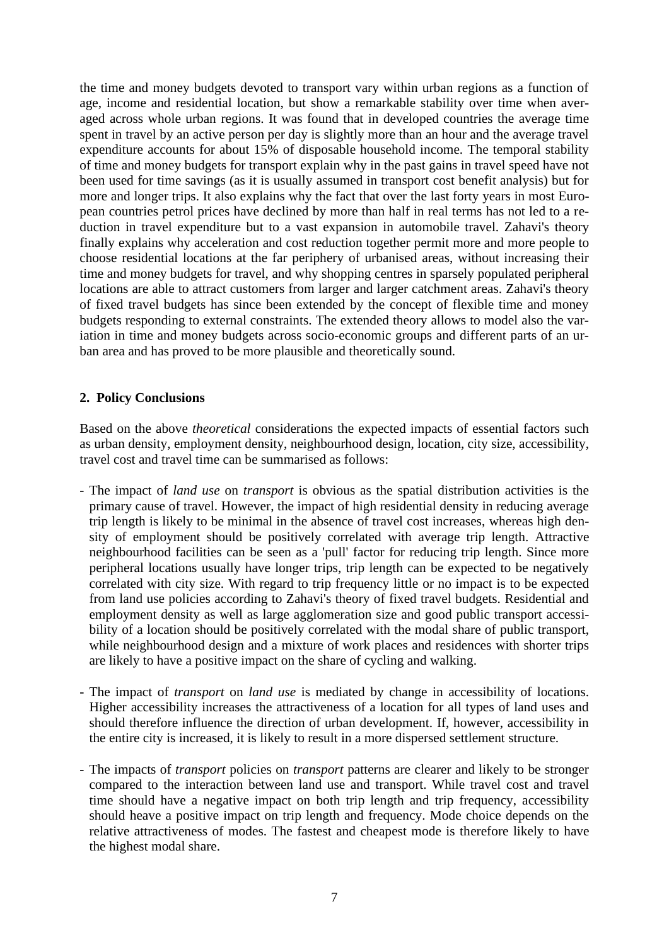the time and money budgets devoted to transport vary within urban regions as a function of age, income and residential location, but show a remarkable stability over time when averaged across whole urban regions. It was found that in developed countries the average time spent in travel by an active person per day is slightly more than an hour and the average travel expenditure accounts for about 15% of disposable household income. The temporal stability of time and money budgets for transport explain why in the past gains in travel speed have not been used for time savings (as it is usually assumed in transport cost benefit analysis) but for more and longer trips. It also explains why the fact that over the last forty years in most European countries petrol prices have declined by more than half in real terms has not led to a reduction in travel expenditure but to a vast expansion in automobile travel. Zahavi's theory finally explains why acceleration and cost reduction together permit more and more people to choose residential locations at the far periphery of urbanised areas, without increasing their time and money budgets for travel, and why shopping centres in sparsely populated peripheral locations are able to attract customers from larger and larger catchment areas. Zahavi's theory of fixed travel budgets has since been extended by the concept of flexible time and money budgets responding to external constraints. The extended theory allows to model also the variation in time and money budgets across socio-economic groups and different parts of an urban area and has proved to be more plausible and theoretically sound.

### **2. Policy Conclusions**

Based on the above *theoretical* considerations the expected impacts of essential factors such as urban density, employment density, neighbourhood design, location, city size, accessibility, travel cost and travel time can be summarised as follows:

- The impact of *land use* on *transport* is obvious as the spatial distribution activities is the primary cause of travel. However, the impact of high residential density in reducing average trip length is likely to be minimal in the absence of travel cost increases, whereas high density of employment should be positively correlated with average trip length. Attractive neighbourhood facilities can be seen as a 'pull' factor for reducing trip length. Since more peripheral locations usually have longer trips, trip length can be expected to be negatively correlated with city size. With regard to trip frequency little or no impact is to be expected from land use policies according to Zahavi's theory of fixed travel budgets. Residential and employment density as well as large agglomeration size and good public transport accessibility of a location should be positively correlated with the modal share of public transport, while neighbourhood design and a mixture of work places and residences with shorter trips are likely to have a positive impact on the share of cycling and walking.
- The impact of *transport* on *land use* is mediated by change in accessibility of locations. Higher accessibility increases the attractiveness of a location for all types of land uses and should therefore influence the direction of urban development. If, however, accessibility in the entire city is increased, it is likely to result in a more dispersed settlement structure.
- The impacts of *transport* policies on *transport* patterns are clearer and likely to be stronger compared to the interaction between land use and transport. While travel cost and travel time should have a negative impact on both trip length and trip frequency, accessibility should heave a positive impact on trip length and frequency. Mode choice depends on the relative attractiveness of modes. The fastest and cheapest mode is therefore likely to have the highest modal share.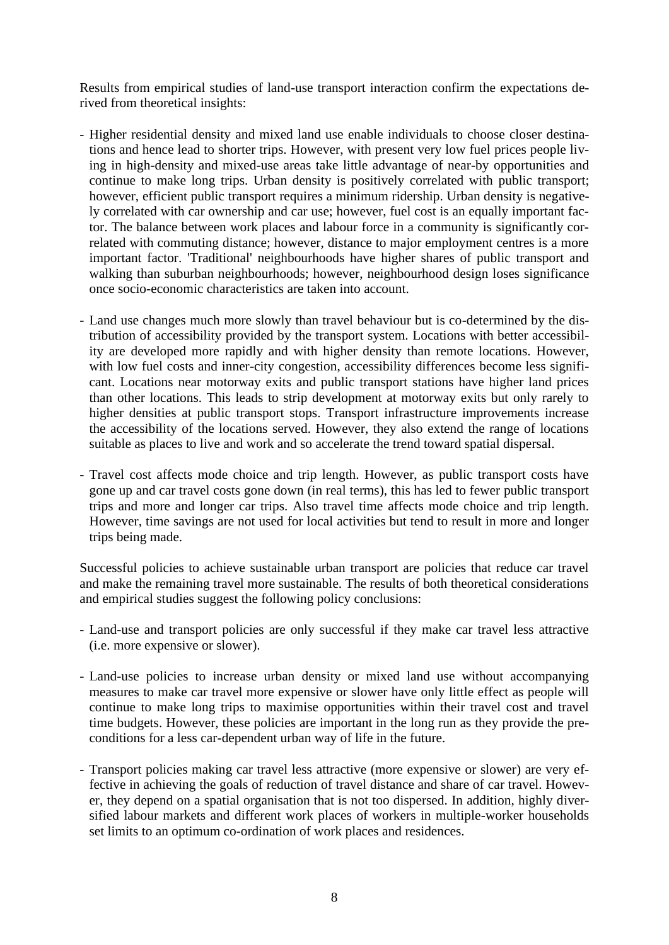Results from empirical studies of land-use transport interaction confirm the expectations derived from theoretical insights:

- Higher residential density and mixed land use enable individuals to choose closer destinations and hence lead to shorter trips. However, with present very low fuel prices people living in high-density and mixed-use areas take little advantage of near-by opportunities and continue to make long trips. Urban density is positively correlated with public transport; however, efficient public transport requires a minimum ridership. Urban density is negatively correlated with car ownership and car use; however, fuel cost is an equally important factor. The balance between work places and labour force in a community is significantly correlated with commuting distance; however, distance to major employment centres is a more important factor. 'Traditional' neighbourhoods have higher shares of public transport and walking than suburban neighbourhoods; however, neighbourhood design loses significance once socio-economic characteristics are taken into account.
- Land use changes much more slowly than travel behaviour but is co-determined by the distribution of accessibility provided by the transport system. Locations with better accessibility are developed more rapidly and with higher density than remote locations. However, with low fuel costs and inner-city congestion, accessibility differences become less significant. Locations near motorway exits and public transport stations have higher land prices than other locations. This leads to strip development at motorway exits but only rarely to higher densities at public transport stops. Transport infrastructure improvements increase the accessibility of the locations served. However, they also extend the range of locations suitable as places to live and work and so accelerate the trend toward spatial dispersal.
- Travel cost affects mode choice and trip length. However, as public transport costs have gone up and car travel costs gone down (in real terms), this has led to fewer public transport trips and more and longer car trips. Also travel time affects mode choice and trip length. However, time savings are not used for local activities but tend to result in more and longer trips being made.

Successful policies to achieve sustainable urban transport are policies that reduce car travel and make the remaining travel more sustainable. The results of both theoretical considerations and empirical studies suggest the following policy conclusions:

- Land-use and transport policies are only successful if they make car travel less attractive (i.e. more expensive or slower).
- Land-use policies to increase urban density or mixed land use without accompanying measures to make car travel more expensive or slower have only little effect as people will continue to make long trips to maximise opportunities within their travel cost and travel time budgets. However, these policies are important in the long run as they provide the preconditions for a less car-dependent urban way of life in the future.
- Transport policies making car travel less attractive (more expensive or slower) are very effective in achieving the goals of reduction of travel distance and share of car travel. However, they depend on a spatial organisation that is not too dispersed. In addition, highly diversified labour markets and different work places of workers in multiple-worker households set limits to an optimum co-ordination of work places and residences.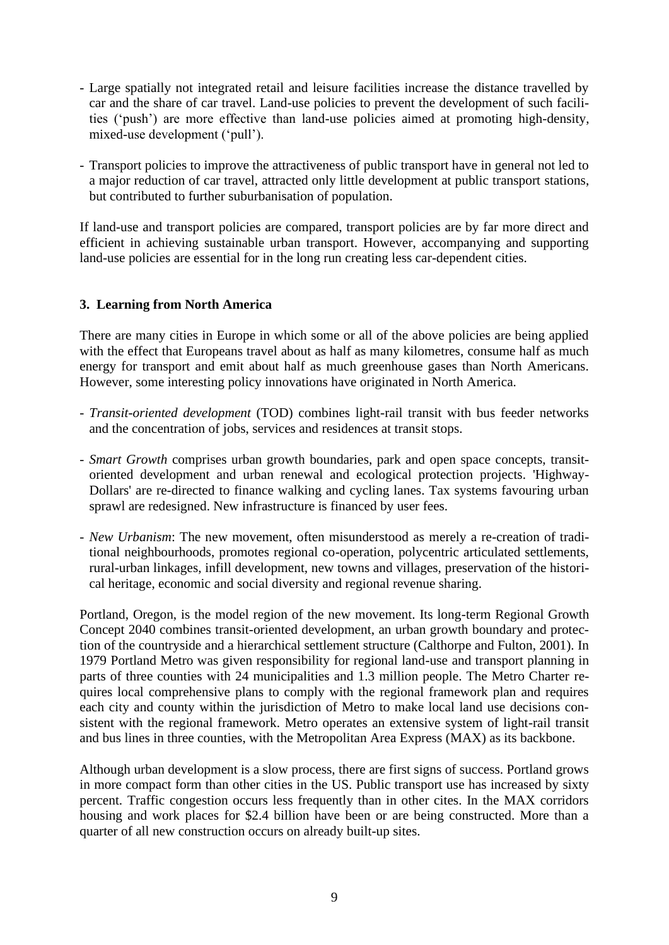- Large spatially not integrated retail and leisure facilities increase the distance travelled by car and the share of car travel. Land-use policies to prevent the development of such facilities ('push') are more effective than land-use policies aimed at promoting high-density, mixed-use development ('pull').
- Transport policies to improve the attractiveness of public transport have in general not led to a major reduction of car travel, attracted only little development at public transport stations, but contributed to further suburbanisation of population.

If land-use and transport policies are compared, transport policies are by far more direct and efficient in achieving sustainable urban transport. However, accompanying and supporting land-use policies are essential for in the long run creating less car-dependent cities.

# **3. Learning from North America**

There are many cities in Europe in which some or all of the above policies are being applied with the effect that Europeans travel about as half as many kilometres, consume half as much energy for transport and emit about half as much greenhouse gases than North Americans. However, some interesting policy innovations have originated in North America.

- *Transit-oriented development* (TOD) combines light-rail transit with bus feeder networks and the concentration of jobs, services and residences at transit stops.
- *Smart Growth* comprises urban growth boundaries, park and open space concepts, transitoriented development and urban renewal and ecological protection projects. 'Highway-Dollars' are re-directed to finance walking and cycling lanes. Tax systems favouring urban sprawl are redesigned. New infrastructure is financed by user fees.
- *New Urbanism*: The new movement, often misunderstood as merely a re-creation of traditional neighbourhoods, promotes regional co-operation, polycentric articulated settlements, rural-urban linkages, infill development, new towns and villages, preservation of the historical heritage, economic and social diversity and regional revenue sharing.

Portland, Oregon, is the model region of the new movement. Its long-term Regional Growth Concept 2040 combines transit-oriented development, an urban growth boundary and protection of the countryside and a hierarchical settlement structure (Calthorpe and Fulton, 2001). In 1979 Portland Metro was given responsibility for regional land-use and transport planning in parts of three counties with 24 municipalities and 1.3 million people. The Metro Charter requires local comprehensive plans to comply with the regional framework plan and requires each city and county within the jurisdiction of Metro to make local land use decisions consistent with the regional framework. Metro operates an extensive system of light-rail transit and bus lines in three counties, with the Metropolitan Area Express (MAX) as its backbone.

Although urban development is a slow process, there are first signs of success. Portland grows in more compact form than other cities in the US. Public transport use has increased by sixty percent. Traffic congestion occurs less frequently than in other cites. In the MAX corridors housing and work places for \$2.4 billion have been or are being constructed. More than a quarter of all new construction occurs on already built-up sites.